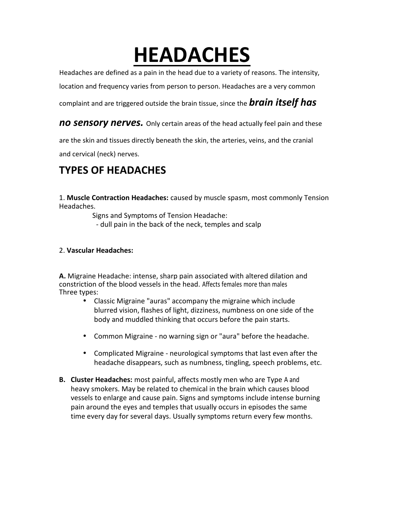# **HEADACHES**

Headaches are defined as a pain in the head due to a variety of reasons. The intensity,

location and frequency varies from person to person. Headaches are a very common

complaint and are triggered outside the brain tissue, since the *brain itself has*

*no sensory nerves.* Only certain areas of the head actually feel pain and these

are the skin and tissues directly beneath the skin, the arteries, veins, and the cranial and cervical (neck) nerves.

## **TYPES OF HEADACHES**

1. **Muscle Contraction Headaches:** caused by muscle spasm, most commonly Tension Headaches.

Signs and Symptoms of Tension Headache:

- dull pain in the back of the neck, temples and scalp

## 2. **Vascular Headaches:**

**A.** Migraine Headache: intense, sharp pain associated with altered dilation and constriction of the blood vessels in the head. Affects females more than males Three types:

- Classic Migraine "auras" accompany the migraine which include blurred vision, flashes of light, dizziness, numbness on one side of the body and muddled thinking that occurs before the pain starts.
- Common Migraine no warning sign or "aura" before the headache.
- Complicated Migraine neurological symptoms that last even after the headache disappears, such as numbness, tingling, speech problems, etc.
- **B. Cluster Headaches:** most painful, affects mostly men who are Type A and heavy smokers. May be related to chemical in the brain which causes blood vessels to enlarge and cause pain. Signs and symptoms include intense burning pain around the eyes and temples that usually occurs in episodes the same time every day for several days. Usually symptoms return every few months.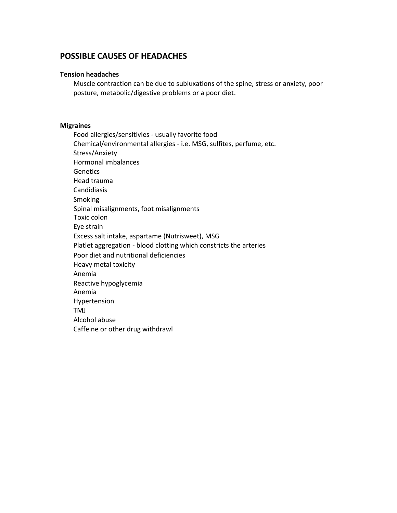## **POSSIBLE CAUSES OF HEADACHES**

#### **Tension headaches**

Muscle contraction can be due to subluxations of the spine, stress or anxiety, poor posture, metabolic/digestive problems or a poor diet.

### **Migraines**

Food allergies/sensitivies - usually favorite food Chemical/environmental allergies - i.e. MSG, sulfites, perfume, etc. Stress/Anxiety Hormonal imbalances **Genetics** Head trauma Candidiasis Smoking Spinal misalignments, foot misalignments Toxic colon Eye strain Excess salt intake, aspartame (Nutrisweet), MSG Platlet aggregation - blood clotting which constricts the arteries Poor diet and nutritional deficiencies Heavy metal toxicity Anemia Reactive hypoglycemia Anemia Hypertension TMJ Alcohol abuse Caffeine or other drug withdrawl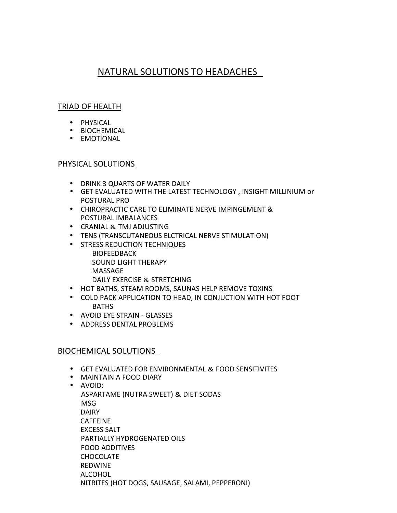## NATURAL SOLUTIONS TO HEADACHES

## TRIAD OF HEALTH

- 
- PHYSICAL BIOCHEMICAL EMOTIONAL
- 

## PHYSICAL SOLUTIONS

- DRINK 3 QUARTS OF WATER DAILY
- GET EVALUATED WITH THE LATEST TECHNOLOGY , INSIGHT MILLINIUM or POSTURAL PRO
- CHIROPRACTIC CARE TO ELIMINATE NERVE IMPINGEMENT & POSTURAL IMBALANCES
- CRANIAL & TMJ ADJUSTING
- TENS (TRANSCUTANEOUS ELCTRICAL NERVE STIMULATION)
- **STRESS REDUCTION TECHNIQUES BIOFEEDBACK** SOUND LIGHT THERAPY MASSAGE DAILY EXERCISE & STRETCHING
- HOT BATHS, STEAM ROOMS, SAUNAS HELP REMOVE TOXINS
- COLD PACK APPLICATION TO HEAD, IN CONJUCTION WITH HOT FOOT BATHS
- AVOID EYE STRAIN GLASSES
- ADDRESS DENTAL PROBLEMS

## BIOCHEMICAL SOLUTIONS

- GET EVALUATED FOR ENVIRONMENTAL & FOOD SENSITIVITES
- MAINTAIN A FOOD DIARY
- AVOID: ASPARTAME (NUTRA SWEET) & DIET SODAS MSG DAIRY CAFFEINE EXCESS SALT PARTIALLY HYDROGENATED OILS FOOD ADDITIVES **CHOCOLATE** REDWINE ALCOHOL NITRITES (HOT DOGS, SAUSAGE, SALAMI, PEPPERONI)